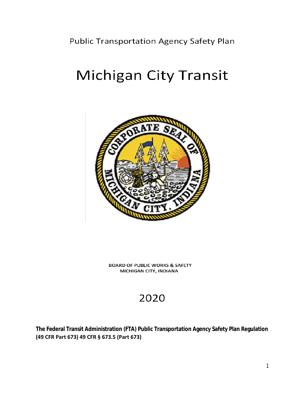Public Transportation Agency Safety Plan

# Michigan City Transit



**BOARD OF PUBLIC WORKS & SAFETY** MICHIGAN CITY, INDIANA

## 2020

**The Federal Transit Administration (FTA) Public Transportation Agency Safety Plan Regulation (49 CFR Part 673) 49 CFR § 673.5 (Part 673)**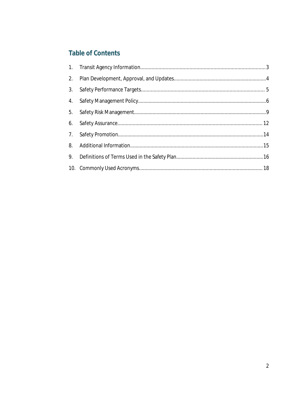#### **Table of Contents**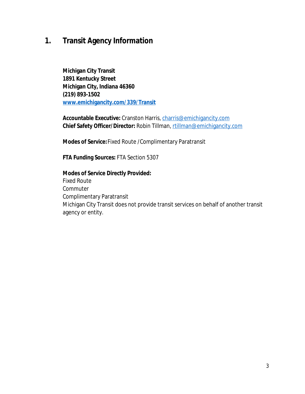### **1. Transit Agency Information**

**Michigan City Transit 1891 Kentucky Street Michigan City, Indiana 46360 (219) 893-1502 [www.emichigancity.com/339/Transit](http://www.emichigancity.com/339/Transit)**

**Accountable Executive:** Cranston Harris, [charris@emichigancity.com](mailto:charris@emichigancity.com) **Chief Safety Officer/Director:** Robin Tillman, [rtillman@emichigancity.com](mailto:rtillman@emichigancity.com)

**Modes of Service:**Fixed Route /Complimentary Paratransit

**FTA Funding Sources:** FTA Section 5307

#### **Modes of Service Directly Provided:**  Fixed Route

**Commuter** Complimentary Paratransit Michigan City Transit does not provide transit services on behalf of another transit agency or entity.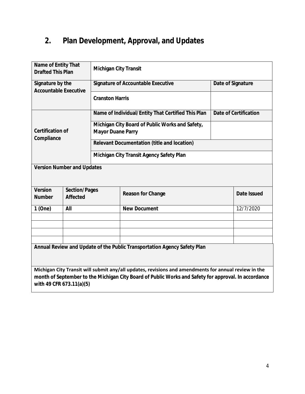### **2. Plan Development, Approval, and Updates**

| Name of Entity That<br><b>Drafted This Plan</b>                          |                                  | <b>Michigan City Transit</b>                                                |                              |  |                    |  |  |
|--------------------------------------------------------------------------|----------------------------------|-----------------------------------------------------------------------------|------------------------------|--|--------------------|--|--|
| Signature by the<br><b>Accountable Executive</b>                         |                                  | <b>Signature of Accountable Executive</b>                                   | Date of Signature            |  |                    |  |  |
|                                                                          |                                  | <b>Cranston Harris</b>                                                      |                              |  |                    |  |  |
|                                                                          |                                  | Name of Individual/Entity That Certified This Plan                          | <b>Date of Certification</b> |  |                    |  |  |
| <b>Certification of</b><br>Compliance                                    |                                  | Michigan City Board of Public Works and Safety,<br><b>Mayor Duane Parry</b> |                              |  |                    |  |  |
|                                                                          |                                  | <b>Relevant Documentation (title and location)</b>                          |                              |  |                    |  |  |
|                                                                          |                                  | Michigan City Transit Agency Safety Plan                                    |                              |  |                    |  |  |
| <b>Version Number and Updates</b>                                        |                                  |                                                                             |                              |  |                    |  |  |
| <b>Version</b><br><b>Number</b>                                          | <b>Section/Pages</b><br>Affected |                                                                             | <b>Reason for Change</b>     |  | <b>Date Issued</b> |  |  |
| 1(One)                                                                   | All                              |                                                                             | <b>New Document</b>          |  | 12/7/2020          |  |  |
|                                                                          |                                  |                                                                             |                              |  |                    |  |  |
|                                                                          |                                  |                                                                             |                              |  |                    |  |  |
|                                                                          |                                  |                                                                             |                              |  |                    |  |  |
| Annual Review and Update of the Public Transportation Agency Safety Plan |                                  |                                                                             |                              |  |                    |  |  |

**Michigan City Transit will submit any/all updates, revisions and amendments for annual review in the month of September to the Michigan City Board of Public Works and Safety for approval. In accordance with 49 CFR 673.11(a)(5)**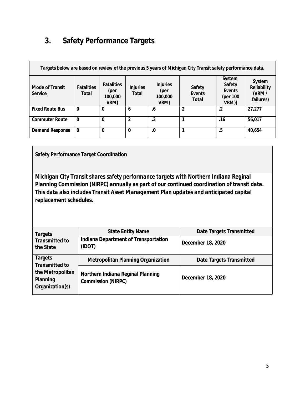### **3. Safety Performance Targets**

| Targets below are based on review of the previous 5 years of Michigan City Transit safety performance data. |                            |                                              |                                 |                                            |                                         |                                                 |                                             |
|-------------------------------------------------------------------------------------------------------------|----------------------------|----------------------------------------------|---------------------------------|--------------------------------------------|-----------------------------------------|-------------------------------------------------|---------------------------------------------|
| <b>Mode of Transit</b><br>Service                                                                           | <b>Fatalities</b><br>Total | <b>Fatalities</b><br>(per<br>100,000<br>VRM) | <b>Injuries</b><br><b>Total</b> | <b>Injuries</b><br>(per<br>100,000<br>VRM) | <b>Safety</b><br>Events<br><b>Total</b> | System<br>Safety<br>Events<br>(per 100<br>VRM)) | System<br>Reliability<br>(VRM/<br>failures) |
| <b>Fixed Route Bus</b>                                                                                      | $\bf{0}$                   | $\bf{0}$                                     | 6                               | .6                                         | $\overline{2}$                          | $\cdot$ .2                                      | 27,277                                      |
| <b>Commuter Route</b>                                                                                       | $\bf{0}$                   | $\boldsymbol{0}$                             | $\overline{2}$                  | .3                                         |                                         | .16                                             | 56,017                                      |
| <b>Demand Response</b>                                                                                      | $\bf{0}$                   | $\bf{0}$                                     | $\bf{0}$                        | .0                                         |                                         | .5                                              | 40,654                                      |

**Safety Performance Target Coordination**

*Michigan City Transit shares safety performance targets with Northern Indiana Reginal Planning Commission (NIRPC) annually as part of our continued coordination of transit data. This data also includes Transit Asset Management Plan updates and anticipated capital replacement schedules.*

| <b>Targets</b>                                  | <b>State Entity Name</b>                                              | <b>Date Targets Transmitted</b> |  |  |
|-------------------------------------------------|-----------------------------------------------------------------------|---------------------------------|--|--|
| <b>Transmitted to</b><br>the State              | Indiana Department of Transportation<br>(IDOT)                        | December 18, 2020               |  |  |
| <b>Targets</b><br><b>Transmitted to</b>         | <b>Metropolitan Planning Organization</b>                             | <b>Date Targets Transmitted</b> |  |  |
| the Metropolitan<br>Planning<br>Organization(s) | <b>Northern Indiana Reginal Planning</b><br><b>Commission (NIRPC)</b> | December 18, 2020               |  |  |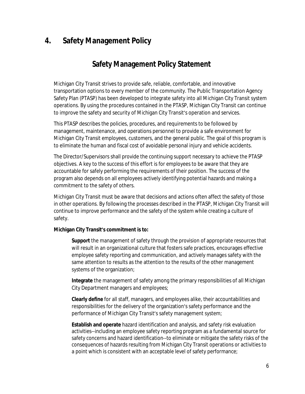### **4. Safety Management Policy**

#### **Safety Management Policy Statement**

Michigan City Transit strives to provide safe, reliable, comfortable, and innovative transportation options to every member of the community. The Public Transportation Agency Safety Plan (PTASP) has been developed to integrate safety into all Michigan City Transit system operations. By using the procedures contained in the PTASP, Michigan City Transit can continue to improve the safety and security of Michigan City Transit's operation and services.

This PTASP describes the policies, procedures, and requirements to be followed by management, maintenance, and operations personnel to provide a safe environment for Michigan City Transit employees, customers, and the general public. The goal of this program is to eliminate the human and fiscal cost of avoidable personal injury and vehicle accidents.

The Director/Supervisors shall provide the continuing support necessary to achieve the PTASP objectives. A key to the success of this effort is for employees to be aware that they are accountable for safely performing the requirements of their position. The success of the program also depends on all employees actively identifying potential hazards and making a commitment to the safety of others.

Michigan City Transit must be aware that decisions and actions often affect the safety of those in other operations. By following the processes described in the PTASP, Michigan City Transit will continue to improve performance and the safety of the system while creating a culture of safety.

#### **Michigan City Transit's commitment is to:**

**Support** the management of safety through the provision of appropriate resources that will result in an organizational culture that fosters safe practices, encourages effective employee safety reporting and communication, and actively manages safety with the same attention to results as the attention to the results of the other management systems of the organization;

**Integrate** the management of safety among the primary responsibilities of all Michigan City Department managers and employees;

**Clearly define** for all staff, managers, and employees alike, their accountabilities and responsibilities for the delivery of the organization's safety performance and the performance of Michigan City Transit's safety management system;

**Establish and operate** hazard identification and analysis, and safety risk evaluation activities--including an employee safety reporting program as a fundamental source for safety concerns and hazard identification--to eliminate or mitigate the safety risks of the consequences of hazards resulting from Michigan City Transit operations or activities to a point which is consistent with an acceptable level of safety performance;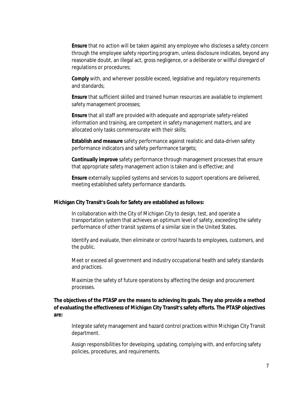**Ensure** that no action will be taken against any employee who discloses a safety concern through the employee safety reporting program, unless disclosure indicates, beyond any reasonable doubt, an illegal act, gross negligence, or a deliberate or willful disregard of regulations or procedures;

**Comply** with, and wherever possible exceed, legislative and regulatory requirements and standards;

**Ensure** that sufficient skilled and trained human resources are available to implement safety management processes;

**Ensure** that all staff are provided with adequate and appropriate safety-related information and training, are competent in safety management matters, and are allocated only tasks commensurate with their skills;

**Establish and measure** safety performance against realistic and data-driven safety performance indicators and safety performance targets;

**Continually improve** safety performance through management processes that ensure that appropriate safety management action is taken and is effective; and

**Ensure** externally supplied systems and services to support operations are delivered, meeting established safety performance standards.

#### **Michigan City Transit's Goals for Safety are established as follows:**

In collaboration with the City of Michigan City to design, test, and operate a transportation system that achieves an optimum level of safety, exceeding the safety performance of other transit systems of a similar size in the United States.

Identify and evaluate, then eliminate or control hazards to employees, customers, and the public.

Meet or exceed all government and industry occupational health and safety standards and practices.

Maximize the safety of future operations by affecting the design and procurement processes.

#### **The objectives of the PTASP are the means to achieving its goals. They also provide a method of evaluating the effectiveness of Michigan City Transit's safety efforts. The PTASP objectives are:**

Integrate safety management and hazard control practices within Michigan City Transit department.

Assign responsibilities for developing, updating, complying with, and enforcing safety policies, procedures, and requirements.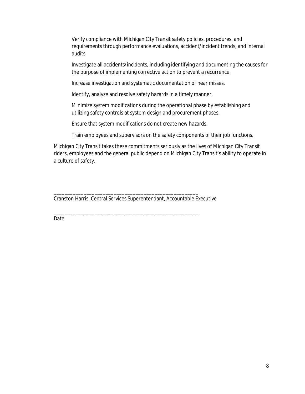Verify compliance with Michigan City Transit safety policies, procedures, and requirements through performance evaluations, accident/incident trends, and internal audits.

Investigate all accidents/incidents, including identifying and documenting the causes for the purpose of implementing corrective action to prevent a recurrence.

Increase investigation and systematic documentation of near misses.

Identify, analyze and resolve safety hazards in a timely manner.

Minimize system modifications during the operational phase by establishing and utilizing safety controls at system design and procurement phases.

Ensure that system modifications do not create new hazards.

Train employees and supervisors on the safety components of their job functions.

Michigan City Transit takes these commitments seriously as the lives of Michigan City Transit riders, employees and the general public depend on Michigan City Transit's ability to operate in a culture of safety.

\_\_\_\_\_\_\_\_\_\_\_\_\_\_\_\_\_\_\_\_\_\_\_\_\_\_\_\_\_\_\_\_\_\_\_\_\_\_\_\_\_\_\_\_\_\_\_\_\_\_\_\_\_ Cranston Harris, Central Services Superentendant, Accountable Executive

\_\_\_\_\_\_\_\_\_\_\_\_\_\_\_\_\_\_\_\_\_\_\_\_\_\_\_\_\_\_\_\_\_\_\_\_\_\_\_\_\_\_\_\_\_\_\_\_\_\_\_\_\_

Date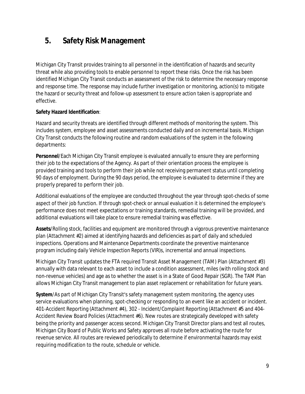### **5. Safety Risk Management**

Michigan City Transit provides training to all personnel in the identification of hazards and security threat while also providing tools to enable personnel to report these risks. Once the risk has been identified Michigan City Transit conducts an assessment of the risk to determine the necessary response and response time. The response may include further investigation or monitoring, action(s) to mitigate the hazard or security threat and follow-up assessment to ensure action taken is appropriate and effective.

#### **Safety Hazard Identification**:

Hazard and security threats are identified through different methods of monitoring the system. This includes system, employee and asset assessments conducted daily and on incremental basis. Michigan City Transit conducts the following routine and random evaluations of the system in the following departments:

**Personnel**/Each Michigan City Transit employee is evaluated annually to ensure they are performing their job to the expectations of the Agency. As part of their orientation process the employee is provided training and tools to perform their job while not receiving permanent status until completing 90 days of employment. During the 90 days period, the employee is evaluated to determine if they are properly prepared to perform their job.

Additional evaluations of the employee are conducted throughout the year through spot-checks of some aspect of their job function. If through spot-check or annual evaluation it is determined the employee's performance does not meet expectations or training standards, remedial training will be provided, and additional evaluations will take place to ensure remedial training was effective.

**Assets**/Rolling stock, facilities and equipment are monitored through a vigorous preventive maintenance plan (Attachment #2) aimed at identifying hazards and deficiencies as part of daily and scheduled inspections. Operations and Maintenance Departments coordinate the preventive maintenance program including daily Vehicle Inspection Reports (VIR)s, incremental and annual inspections.

Michigan City Transit updates the FTA required Transit Asset Management (TAM) Plan (Attachment #3) annually with data relevant to each asset to include a condition assessment, miles (with rolling stock and non-revenue vehicles) and age as to whether the asset is in a State of Good Repair (SGR). The TAM Plan allows Michigan City Transit management to plan asset replacement or rehabilitation for future years.

**System**/As part of Michigan City Transit's safety management system monitoring, the agency uses service evaluations when planning, spot-checking or responding to an event like an accident or incident. 401-Accident Reporting (Attachment #4), 302 - Incident/Complaint Reporting (Attachment #5 and 404- Accident Review Board Policies (Attachment #6). New routes are strategically developed with safety being the priority and passenger access second. Michigan City Transit Director plans and test all routes, Michigan City Board of Public Works and Safety approves all route before activating the route for revenue service. All routes are reviewed periodically to determine if environmental hazards may exist requiring modification to the route, schedule or vehicle.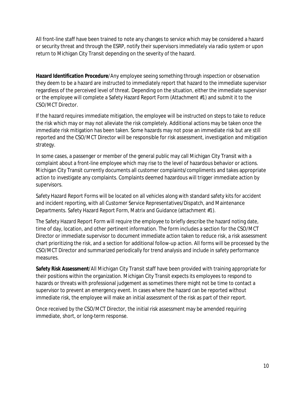All front-line staff have been trained to note any changes to service which may be considered a hazard or security threat and through the ESRP, notify their supervisors immediately via radio system or upon return to Michigan City Transit depending on the severity of the hazard.

**Hazard Identification Procedure**/Any employee seeing something through inspection or observation they deem to be a hazard are instructed to immediately report that hazard to the immediate supervisor regardless of the perceived level of threat. Depending on the situation, either the immediate supervisor or the employee will complete a Safety Hazard Report Form (Attachment #1) and submit it to the CSO/MCT Director.

If the hazard requires immediate mitigation, the employee will be instructed on steps to take to reduce the risk which may or may not alleviate the risk completely. Additional actions may be taken once the immediate risk mitigation has been taken. Some hazards may not pose an immediate risk but are still reported and the CSO/MCT Director will be responsible for risk assessment, investigation and mitigation strategy.

In some cases, a passenger or member of the general public may call Michigan City Transit with a complaint about a front-line employee which may rise to the level of hazardous behavior or actions. Michigan City Transit currently documents all customer complaints/compliments and takes appropriate action to investigate any complaints. Complaints deemed hazardous will trigger immediate action by supervisors.

Safety Hazard Report Forms will be located on all vehicles along with standard safety kits for accident and incident reporting, with all Customer Service Representatives/Dispatch, and Maintenance Departments. Safety Hazard Report Form, Matrix and Guidance (attachment #1).

The Safety Hazard Report Form will require the employee to briefly describe the hazard noting date, time of day, location, and other pertinent information. The form includes a section for the CSO/MCT Director or immediate supervisor to document immediate action taken to reduce risk, a risk assessment chart prioritizing the risk, and a section for additional follow-up action. All forms will be processed by the CSO/MCT Director and summarized periodically for trend analysis and include in safety performance measures.

**Safety Risk Assessment**/All Michigan City Transit staff have been provided with training appropriate for their positions within the organization. Michigan City Transit expects its employees to respond to hazards or threats with professional judgement as sometimes there might not be time to contact a supervisor to prevent an emergency event. In cases where the hazard can be reported without immediate risk, the employee will make an initial assessment of the risk as part of their report.

Once received by the CSO/MCT Director, the initial risk assessment may be amended requiring immediate, short, or long-term response.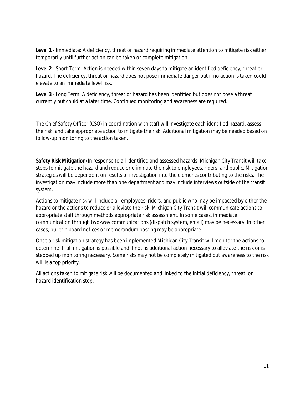**Level 1** - Immediate: A deficiency, threat or hazard requiring immediate attention to mitigate risk either temporarily until further action can be taken or complete mitigation.

**Level 2** - Short Term: Action is needed within seven days to mitigate an identified deficiency, threat or hazard. The deficiency, threat or hazard does not pose immediate danger but if no action is taken could elevate to an Immediate level risk.

**Level 3** - Long Term: A deficiency, threat or hazard has been identified but does not pose a threat currently but could at a later time. Continued monitoring and awareness are required.

The Chief Safety Officer (CSO) in coordination with staff will investigate each identified hazard, assess the risk, and take appropriate action to mitigate the risk. Additional mitigation may be needed based on follow-up monitoring to the action taken.

**Safety Risk Mitigation**/In response to all identified and assessed hazards, Michigan City Transit will take steps to mitigate the hazard and reduce or eliminate the risk to employees, riders, and public. Mitigation strategies will be dependent on results of investigation into the elements contributing to the risks. The investigation may include more than one department and may include interviews outside of the transit system.

Actions to mitigate risk will include all employees, riders, and public who may be impacted by either the hazard or the actions to reduce or alleviate the risk. Michigan City Transit will communicate actions to appropriate staff through methods appropriate risk assessment. In some cases, immediate communication through two-way communications (dispatch system, email) may be necessary. In other cases, bulletin board notices or memorandum posting may be appropriate.

Once a risk mitigation strategy has been implemented Michigan City Transit will monitor the actions to determine if full mitigation is possible and if not, is additional action necessary to alleviate the risk or is stepped up monitoring necessary. Some risks may not be completely mitigated but awareness to the risk will is a top priority.

All actions taken to mitigate risk will be documented and linked to the initial deficiency, threat, or hazard identification step.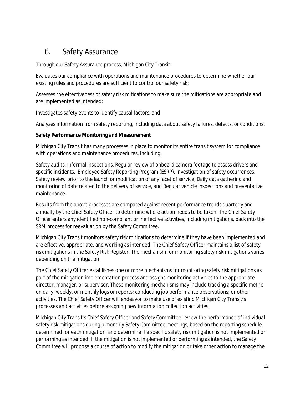### 6. Safety Assurance

Through our Safety Assurance process, Michigan City Transit:

Evaluates our compliance with operations and maintenance procedures to determine whether our existing rules and procedures are sufficient to control our safety risk;

Assesses the effectiveness of safety risk mitigations to make sure the mitigations are appropriate and are implemented as intended;

Investigates safety events to identify causal factors; and

Analyzes information from safety reporting, including data about safety failures, defects, or conditions.

#### **Safety Performance Monitoring and Measurement**

Michigan City Transit has many processes in place to monitor its entire transit system for compliance with operations and maintenance procedures, including:

Safety audits, Informal inspections, Regular review of onboard camera footage to assess drivers and specific incidents, Employee Safety Reporting Program (ESRP), Investigation of safety occurrences, Safety review prior to the launch or modification of any facet of service, Daily data gathering and monitoring of data related to the delivery of service, and Regular vehicle inspections and preventative maintenance.

Results from the above processes are compared against recent performance trends quarterly and annually by the Chief Safety Officer to determine where action needs to be taken. The Chief Safety Officer enters any identified non-compliant or ineffective activities, including mitigations, back into the SRM process for reevaluation by the Safety Committee.

Michigan City Transit monitors safety risk mitigations to determine if they have been implemented and are effective, appropriate, and working as intended. The Chief Safety Officer maintains a list of safety risk mitigations in the Safety Risk Register. The mechanism for monitoring safety risk mitigations varies depending on the mitigation.

The Chief Safety Officer establishes one or more mechanisms for monitoring safety risk mitigations as part of the mitigation implementation process and assigns monitoring activities to the appropriate director, manager, or supervisor. These monitoring mechanisms may include tracking a specific metric on daily, weekly, or monthly logs or reports; conducting job performance observations; or other activities. The Chief Safety Officer will endeavor to make use of existing Michigan City Transit's processes and activities before assigning new information collection activities.

Michigan City Transit's Chief Safety Officer and Safety Committee review the performance of individual safety risk mitigations during bimonthly Safety Committee meetings, based on the reporting schedule determined for each mitigation, and determine if a specific safety risk mitigation is not implemented or performing as intended. If the mitigation is not implemented or performing as intended, the Safety Committee will propose a course of action to modify the mitigation or take other action to manage the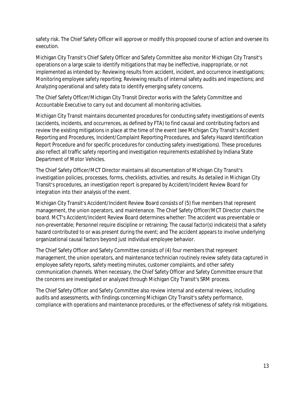safety risk. The Chief Safety Officer will approve or modify this proposed course of action and oversee its execution.

Michigan City Transit's Chief Safety Officer and Safety Committee also monitor Michigan City Transit's operations on a large scale to identify mitigations that may be ineffective, inappropriate, or not implemented as intended by: Reviewing results from accident, incident, and occurrence investigations; Monitoring employee safety reporting; Reviewing results of internal safety audits and inspections; and Analyzing operational and safety data to identify emerging safety concerns.

The Chief Safety Officer/Michigan City Transit Director works with the Safety Committee and Accountable Executive to carry out and document all monitoring activities.

Michigan City Transit maintains documented procedures for conducting safety investigations of events (accidents, incidents, and occurrences, as defined by FTA) to find causal and contributing factors and review the existing mitigations in place at the time of the event (see Michigan City Transit's Accident Reporting and Procedures, Incident/Complaint Reporting Procedures, and Safety Hazard Identification Report Procedure and for specific procedures for conducting safety investigations). These procedures also reflect all traffic safety reporting and investigation requirements established by Indiana State Department of Motor Vehicles.

The Chief Safety Officer/MCT Director maintains all documentation of Michigan City Transit's investigation policies, processes, forms, checklists, activities, and results. As detailed in Michigan City Transit's procedures, an investigation report is prepared by Accident/Incident Review Board for integration into their analysis of the event.

Michigan City Transit's Accident/Incident Review Board consists of (5) five members that represent management, the union operators, and maintenance. The Chief Safety Officer/MCT Director chairs the board. MCT's Accident/Incident Review Board determines whether: The accident was preventable or non-preventable; Personnel require discipline or retraining; The causal factor(s) indicate(s) that a safety hazard contributed to or was present during the event; and The accident appears to involve underlying organizational causal factors beyond just individual employee behavior.

The Chief Safety Officer and Safety Committee consists of (4) four members that represent management, the union operators, and maintenance technician routinely review safety data captured in employee safety reports, safety meeting minutes, customer complaints, and other safety communication channels. When necessary, the Chief Safety Officer and Safety Committee ensure that the concerns are investigated or analyzed through Michigan City Transit's SRM process.

The Chief Safety Officer and Safety Committee also review internal and external reviews, including audits and assessments, with findings concerning Michigan City Transit's safety performance, compliance with operations and maintenance procedures, or the effectiveness of safety risk mitigations.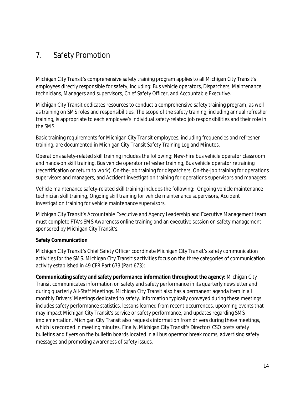### 7. Safety Promotion

Michigan City Transit's comprehensive safety training program applies to all Michigan City Transit's employees directly responsible for safety, including: Bus vehicle operators, Dispatchers, Maintenance technicians, Managers and supervisors, Chief Safety Officer, and Accountable Executive.

Michigan City Transit dedicates resources to conduct a comprehensive safety training program, as well as training on SMS roles and responsibilities. The scope of the safety training, including annual refresher training, is appropriate to each employee's individual safety-related job responsibilities and their role in the SMS.

Basic training requirements for Michigan City Transit employees, including frequencies and refresher training, are documented in Michigan City Transit Safety Training Log and Minutes.

Operations safety-related skill training includes the following: New-hire bus vehicle operator classroom and hands-on skill training, Bus vehicle operator refresher training, Bus vehicle operator retraining (recertification or return to work), On-the-job training for dispatchers, On-the-job training for operations supervisors and managers, and Accident investigation training for operations supervisors and managers.

Vehicle maintenance safety-related skill training includes the following: Ongoing vehicle maintenance technician skill training, Ongoing skill training for vehicle maintenance supervisors, Accident investigation training for vehicle maintenance supervisors.

Michigan City Transit's Accountable Executive and Agency Leadership and Executive Management team must complete FTA's SMS Awareness online training and an executive session on safety management sponsored by Michigan City Transit's.

#### **Safety Communication**

Michigan City Transit's Chief Safety Officer coordinate Michigan City Transit's safety communication activities for the SMS. Michigan City Transit's activities focus on the three categories of communication activity established in 49 CFR Part 673 (Part 673):

**Communicating safety and safety performance information throughout the agency:** Michigan City Transit communicates information on safety and safety performance in its quarterly newsletter and during quarterly All-Staff Meetings. Michigan City Transit also has a permanent agenda item in all monthly Drivers' Meetings dedicated to safety. Information typically conveyed during these meetings includes safety performance statistics, lessons learned from recent occurrences, upcoming events that may impact Michigan City Transit's service or safety performance, and updates regarding SMS implementation. Michigan City Transit also requests information from drivers during these meetings, which is recorded in meeting minutes. Finally, Michigan City Transit's Director/ CSO posts safety bulletins and flyers on the bulletin boards located in all bus operator break rooms, advertising safety messages and promoting awareness of safety issues.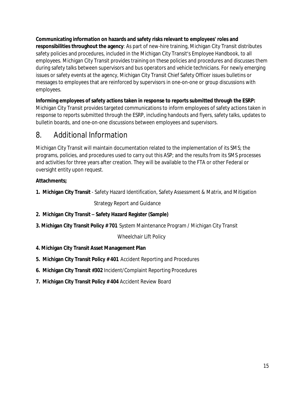**Communicating information on hazards and safety risks relevant to employees' roles and responsibilities throughout the agency**: As part of new-hire training, Michigan City Transit distributes safety policies and procedures, included in the Michigan City Transit's Employee Handbook, to all employees. Michigan City Transit provides training on these policies and procedures and discusses them during safety talks between supervisors and bus operators and vehicle technicians. For newly emerging issues or safety events at the agency, Michigan City Transit Chief Safety Officer issues bulletins or messages to employees that are reinforced by supervisors in one-on-one or group discussions with employees.

**Informing employees of safety actions taken in response to reports submitted through the ESRP:**

Michigan City Transit provides targeted communications to inform employees of safety actions taken in response to reports submitted through the ESRP, including handouts and flyers, safety talks, updates to bulletin boards, and one-on-one discussions between employees and supervisors.

### 8. Additional Information

Michigan City Transit will maintain documentation related to the implementation of its SMS; the programs, policies, and procedures used to carry out this ASP; and the results from its SMS processes and activities for three years after creation. They will be available to the FTA or other Federal or oversight entity upon request.

#### **Attachments;**

**1. Michigan City Transit** - Safety Hazard Identification, Safety Assessment & Matrix, and Mitigation

Strategy Report and Guidance

- **2. Michigan City Transit – Safety Hazard Register (Sample)**
- **3. Michigan City Transit Policy # 701** System Maintenance Program / Michigan City Transit

Wheelchair Lift Policy

- **4. Michigan City Transit Asset Management Plan**
- **5. Michigan City Transit Policy # 401** Accident Reporting and Procedures
- **6. Michigan City Transit #302** Incident/Complaint Reporting Procedures
- **7. Michigan City Transit Policy # 404** Accident Review Board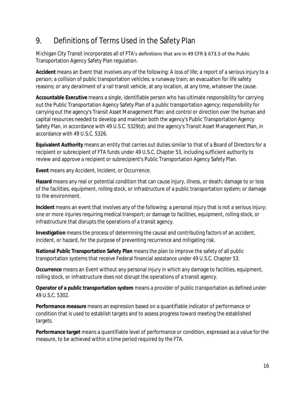### 9. Definitions of Terms Used in the Safety Plan

Michigan City Transit incorporates all of FTA's definitions that are in 49 CFR § 673.5 of the Public Transportation Agency Safety Plan regulation.

**Accident** means an Event that involves any of the following: A loss of life; a report of a serious injury to a person; a collision of public transportation vehicles; a runaway train; an evacuation for life safety reasons; or any derailment of a rail transit vehicle, at any location, at any time, whatever the cause.

**Accountable Executive** means a single, identifiable person who has ultimate responsibility for carrying out the Public Transportation Agency Safety Plan of a public transportation agency; responsibility for carrying out the agency's Transit Asset Management Plan; and control or direction over the human and capital resources needed to develop and maintain both the agency's Public Transportation Agency Safety Plan, in accordance with 49 U.S.C. 5329(d), and the agency's Transit Asset Management Plan, in accordance with 49 U.S.C. 5326.

**Equivalent Authority** means an entity that carries out duties similar to that of a Board of Directors for a recipient or subrecipient of FTA funds under 49 U.S.C. Chapter 53, including sufficient authority to review and approve a recipient or subrecipient's Public Transportation Agency Safety Plan.

**Event** means any Accident, Incident, or Occurrence.

**Hazard** means any real or potential condition that can cause injury, illness, or death; damage to or loss of the facilities, equipment, rolling stock, or infrastructure of a public transportation system; or damage to the environment.

**Incident** means an event that involves any of the following: a personal injury that is not a serious injury; one or more injuries requiring medical transport; or damage to facilities, equipment, rolling stock, or infrastructure that disrupts the operations of a transit agency.

**Investigation** means the process of determining the causal and contributing factors of an accident, incident, or hazard, for the purpose of preventing recurrence and mitigating risk.

**National Public Transportation Safety Plan** means the plan to improve the safety of all public transportation systems that receive Federal financial assistance under 49 U.S.C. Chapter 53.

**Occurrence** means an Event without any personal injury in which any damage to facilities, equipment, rolling stock, or infrastructure does not disrupt the operations of a transit agency.

**Operator of a public transportation system** means a provider of public transportation as defined under 49 U.S.C. 5302.

**Performance measure** means an expression based on a quantifiable indicator of performance or condition that is used to establish targets and to assess progress toward meeting the established targets.

**Performance target** means a quantifiable level of performance or condition, expressed as a value for the measure, to be achieved within a time period required by the FTA.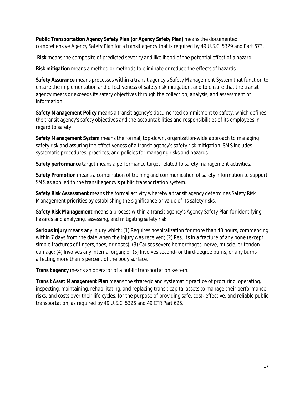**Public Transportation Agency Safety Plan (or Agency Safety Plan)** means the documented comprehensive Agency Safety Plan for a transit agency that is required by 49 U.S.C. 5329 and Part 673.

 **Risk** means the composite of predicted severity and likelihood of the potential effect of a hazard.

**Risk mitigation** means a method or methods to eliminate or reduce the effects of hazards.

**Safety Assurance** means processes within a transit agency's Safety Management System that function to ensure the implementation and effectiveness of safety risk mitigation, and to ensure that the transit agency meets or exceeds its safety objectives through the collection, analysis, and assessment of information.

**Safety Management Policy** means a transit agency's documented commitment to safety, which defines the transit agency's safety objectives and the accountabilities and responsibilities of its employees in regard to safety.

**Safety Management System** means the formal, top-down, organization-wide approach to managing safety risk and assuring the effectiveness of a transit agency's safety risk mitigation. SMS includes systematic procedures, practices, and policies for managing risks and hazards.

**Safety performance** target means a performance target related to safety management activities.

**Safety Promotion** means a combination of training and communication of safety information to support SMS as applied to the transit agency's public transportation system.

**Safety Risk Assessment** means the formal activity whereby a transit agency determines Safety Risk Management priorities by establishing the significance or value of its safety risks.

**Safety Risk Management** means a process within a transit agency's Agency Safety Plan for identifying hazards and analyzing, assessing, and mitigating safety risk.

**Serious injury** means any injury which: (1) Requires hospitalization for more than 48 hours, commencing within 7 days from the date when the injury was received; (2) Results in a fracture of any bone (except simple fractures of fingers, toes, or noses); (3) Causes severe hemorrhages, nerve, muscle, or tendon damage; (4) Involves any internal organ; or (5) Involves second- or third-degree burns, or any burns affecting more than 5 percent of the body surface.

**Transit agency** means an operator of a public transportation system.

**Transit Asset Management Plan** means the strategic and systematic practice of procuring, operating, inspecting, maintaining, rehabilitating, and replacing transit capital assets to manage their performance, risks, and costs over their life cycles, for the purpose of providing safe, cost- effective, and reliable public transportation, as required by 49 U.S.C. 5326 and 49 CFR Part 625.